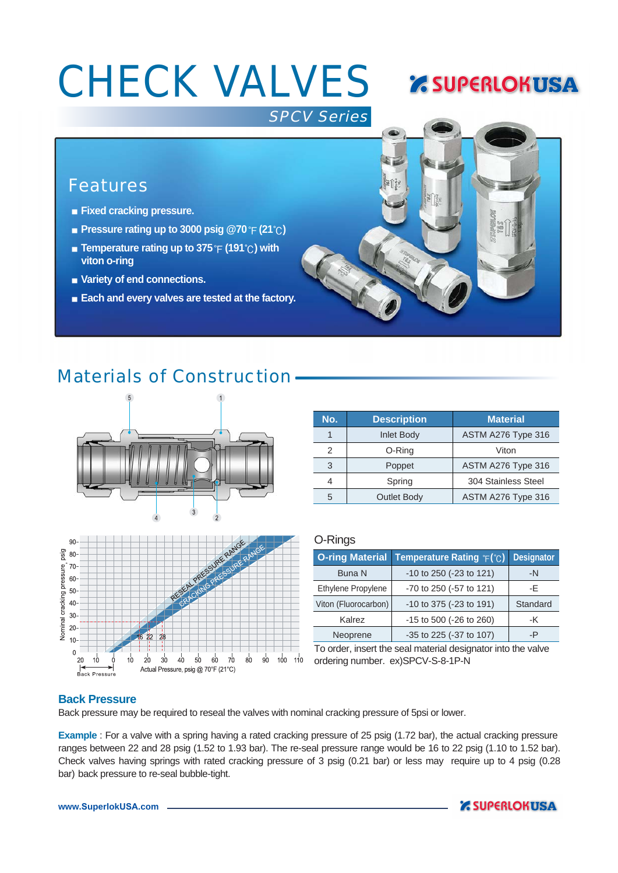# **CHECK VALVES & SUPERLOKUSA**

#### SPCV Series

## **Features**

- **Fixed cracking pressure.**
- **Pressure rating up to 3000 psig @70**  $\hat{P}$  (21 $\hat{C}$ )
- **Example 7 at Temperature rating up to 375 °F (191 °C) with viton o-ring**
- **Variety of end connections.**
- **Each and every valves are tested at the factory.**

## Materials of Construction



| psig<br>Nominal cracking pressure, | 90 <sub>0</sub><br>80 |    |                            |    |                                           |    |    |    |    |    |    | RESERVATION PRESSIDE PINGE |     |                 |
|------------------------------------|-----------------------|----|----------------------------|----|-------------------------------------------|----|----|----|----|----|----|----------------------------|-----|-----------------|
|                                    | 70                    |    |                            |    |                                           |    |    |    |    |    |    |                            |     |                 |
|                                    | 60                    |    |                            |    |                                           |    |    |    |    |    |    |                            |     |                 |
|                                    | 50                    |    |                            |    |                                           |    |    |    |    |    |    |                            |     |                 |
|                                    | 40                    |    |                            |    |                                           |    |    |    |    |    |    |                            |     |                 |
|                                    | 30 <sup>°</sup>       |    |                            |    |                                           |    |    |    |    |    |    |                            |     |                 |
|                                    | 20 <sub>1</sub>       |    |                            |    |                                           |    |    |    |    |    |    |                            |     |                 |
|                                    | 10 <sup>1</sup>       |    |                            |    | 22<br>16                                  | 28 |    |    |    |    |    |                            |     |                 |
|                                    | $\mathbf 0$           |    |                            |    |                                           |    |    |    |    |    |    |                            |     |                 |
|                                    |                       | 20 | 10<br><b>Back Pressure</b> | 10 | 20<br>Actual Pressure, psig @ 70°F (21°C) | 30 | 40 | 50 | 60 | 70 | 80 | 90                         | 100 | 11 <sup>7</sup> |

| No. | <b>Description</b> | <b>Material</b>     |  |  |  |  |
|-----|--------------------|---------------------|--|--|--|--|
|     | <b>Inlet Body</b>  | ASTM A276 Type 316  |  |  |  |  |
| 2   | O-Ring             | Viton               |  |  |  |  |
| 3   | Poppet             | ASTM A276 Type 316  |  |  |  |  |
| Δ   | Spring             | 304 Stainless Steel |  |  |  |  |
| 5   | <b>Outlet Body</b> | ASTM A276 Type 316  |  |  |  |  |

#### O-Rings

|                      | <b>O-ring Material Temperature Rating F(°C)</b> | <b>Designator</b> |  |
|----------------------|-------------------------------------------------|-------------------|--|
| <b>Buna N</b>        | -10 to 250 (-23 to 121)                         | -N                |  |
| Ethylene Propylene   | -70 to 250 (-57 to 121)                         | -Е                |  |
| Viton (Fluorocarbon) | -10 to 375 (-23 to 191)                         | Standard          |  |
| Kalrez               | -15 to 500 (-26 to 260)                         | -K                |  |
| Neoprene             | -35 to 225 (-37 to 107)                         | -P                |  |

To order, insert the seal material designator into the valve ordering number. ex)SPCV-S-8-1P-N

#### **Back Pressure**

Back pressure may be required to reseal the valves with nominal cracking pressure of 5psi or lower.

**Example** : For a valve with a spring having a rated cracking pressure of 25 psig (1.72 bar), the actual cracking pressure ranges between 22 and 28 psig (1.52 to 1.93 bar). The re-seal pressure range would be 16 to 22 psig (1.10 to 1.52 bar). Check valves having springs with rated cracking pressure of 3 psig (0.21 bar) or less may require up to 4 psig (0.28 bar) back pressure to re-seal bubble-tight.